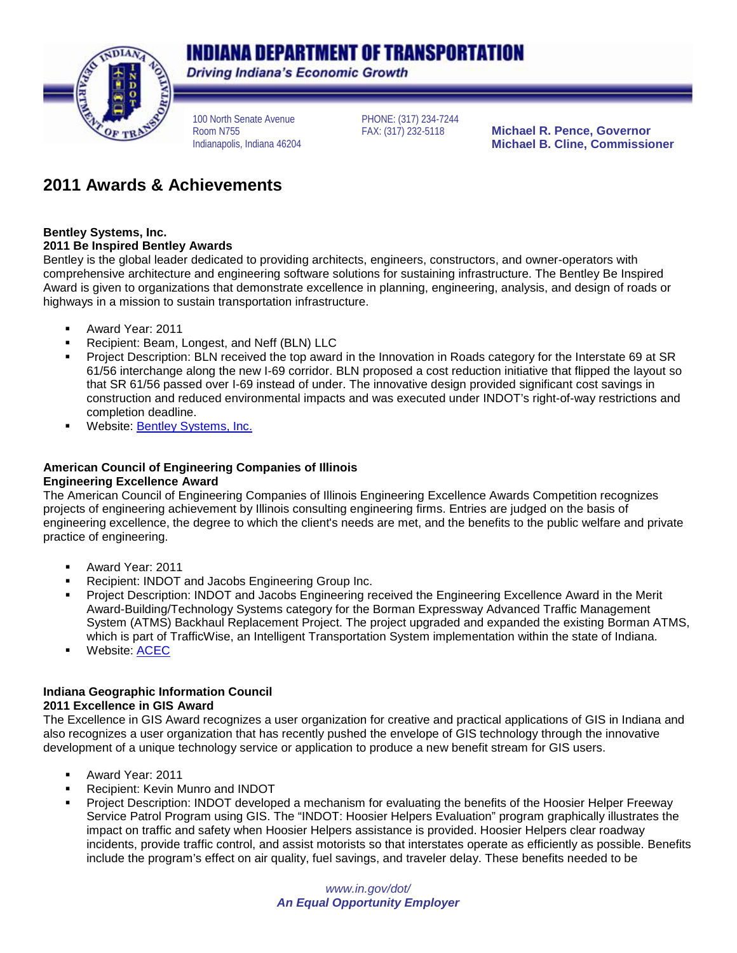# **INDIANA DEPARTMENT OF TRANSPORTATION**



**Driving Indiana's Economic Growth** 

100 North Senate Avenue Room N755 Indianapolis, Indiana 46204

PHONE: (317) 234-7244

**Michael R. Pence, Governor Michael B. Cline, Commissioner**

# **2011 Awards & Achievements**

# **Bentley Systems, Inc.**

### **2011 Be Inspired Bentley Awards**

Bentley is the global leader dedicated to providing architects, engineers, constructors, and owner-operators with comprehensive architecture and engineering software solutions for sustaining infrastructure. The Bentley Be Inspired Award is given to organizations that demonstrate excellence in planning, engineering, analysis, and design of roads or highways in a mission to sustain transportation infrastructure.

- Award Year: 2011
- Recipient: Beam, Longest, and Neff (BLN) LLC
- Project Description: BLN received the top award in the Innovation in Roads category for the Interstate 69 at SR 61/56 interchange along the new I-69 corridor. BLN proposed a cost reduction initiative that flipped the layout so that SR 61/56 passed over I-69 instead of under. The innovative design provided significant cost savings in construction and reduced environmental impacts and was executed under INDOT's right-of-way restrictions and completion deadline.
- Website: [Bentley Systems, Inc.](http://www.bentley.com/en-US/Community/BE+Awards/roads.htm)

#### **American Council of Engineering Companies of Illinois Engineering Excellence Award**

The American Council of Engineering Companies of Illinois Engineering Excellence Awards Competition recognizes projects of engineering achievement by Illinois consulting engineering firms. Entries are judged on the basis of engineering excellence, the degree to which the client's needs are met, and the benefits to the public welfare and private practice of engineering.

- Award Year: 2011
- Recipient: INDOT and Jacobs Engineering Group Inc.
- Project Description: INDOT and Jacobs Engineering received the Engineering Excellence Award in the Merit Award-Building/Technology Systems category for the Borman Expressway Advanced Traffic Management System (ATMS) Backhaul Replacement Project. The project upgraded and expanded the existing Borman ATMS, which is part of TrafficWise, an Intelligent Transportation System implementation within the state of Indiana.
- Website: [ACEC](http://www.acec-il.org/eea/merit11.pdf)

# **Indiana Geographic Information Council**

### **2011 Excellence in GIS Award**

The Excellence in GIS Award recognizes a user organization for creative and practical applications of GIS in Indiana and also recognizes a user organization that has recently pushed the envelope of GIS technology through the innovative development of a unique technology service or application to produce a new benefit stream for GIS users.

- Award Year: 2011
- Recipient: Kevin Munro and INDOT
- Project Description: INDOT developed a mechanism for evaluating the benefits of the Hoosier Helper Freeway Service Patrol Program using GIS. The "INDOT: Hoosier Helpers Evaluation" program graphically illustrates the impact on traffic and safety when Hoosier Helpers assistance is provided. Hoosier Helpers clear roadway incidents, provide traffic control, and assist motorists so that interstates operate as efficiently as possible. Benefits include the program's effect on air quality, fuel savings, and traveler delay. These benefits needed to be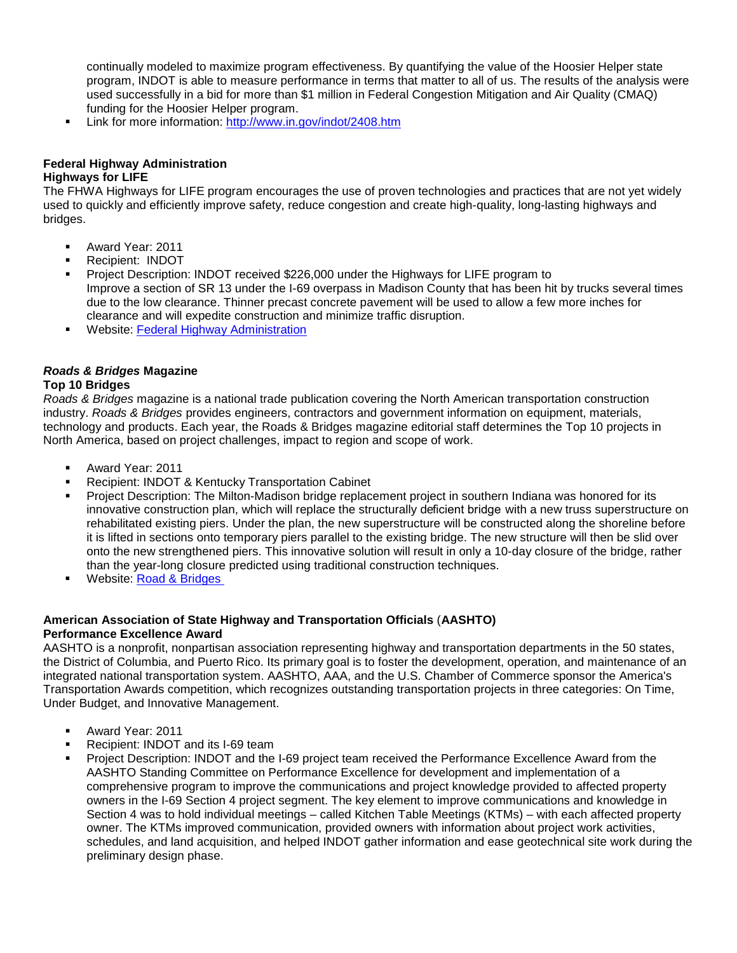continually modeled to maximize program effectiveness. By quantifying the value of the Hoosier Helper state program, INDOT is able to measure performance in terms that matter to all of us. The results of the analysis were used successfully in a bid for more than \$1 million in Federal Congestion Mitigation and Air Quality (CMAQ) funding for the Hoosier Helper program.

**EXECT:** Link for more information:<http://www.in.gov/indot/2408.htm>

#### **Federal Highway Administration Highways for LIFE**

The FHWA Highways for LIFE program encourages the use of proven technologies and practices that are not yet widely used to quickly and efficiently improve safety, reduce congestion and create high-quality, long-lasting highways and bridges.

- Award Year: 2011
- Recipient: INDOT
- Project Description: INDOT received \$226,000 under the Highways for LIFE program to Improve a section of SR 13 under the I-69 overpass in Madison County that has been hit by trucks several times due to the low clearance. Thinner precast concrete pavement will be used to allow a few more inches for clearance and will expedite construction and minimize traffic disruption.
- **Website: [Federal Highway Administration](http://www.fhwa.dot.gov/pressroom/fhwa1104.htm)**

### *Roads & Bridges* **Magazine**

#### **Top 10 Bridges**

*Roads & Bridges* magazine is a national trade publication covering the North American transportation construction industry. *Roads & Bridges* provides engineers, contractors and government information on equipment, materials, technology and products. Each year, the Roads & Bridges magazine editorial staff determines the Top 10 projects in North America, based on project challenges, impact to region and scope of work.

- Award Year: 2011
- Recipient: INDOT & Kentucky Transportation Cabinet
- Project Description: The Milton-Madison bridge replacement project in southern Indiana was honored for its innovative construction plan, which will replace the structurally deficient bridge with a new truss superstructure on rehabilitated existing piers. Under the plan, the new superstructure will be constructed along the shoreline before it is lifted in sections onto temporary piers parallel to the existing bridge. The new structure will then be slid over onto the new strengthened piers. This innovative solution will result in only a 10-day closure of the bridge, rather than the year-long closure predicted using traditional construction techniques.
- Website: [Road & Bridges](http://www.roadsbridges.com/2011-top-10-bridges-no-3)

#### **American Association of State Highway and Transportation Officials** (**AASHTO) Performance Excellence Award**

AASHTO is a nonprofit, nonpartisan association representing highway and transportation departments in the 50 states, the District of Columbia, and Puerto Rico. Its primary goal is to foster the development, operation, and maintenance of an integrated national transportation system. AASHTO, AAA, and the U.S. Chamber of Commerce sponsor the America's Transportation Awards competition, which recognizes outstanding transportation projects in three categories: On Time, Under Budget, and Innovative Management.

- Award Year: 2011
- Recipient: INDOT and its I-69 team
- Project Description: INDOT and the I-69 project team received the Performance Excellence Award from the AASHTO Standing Committee on Performance Excellence for development and implementation of a comprehensive program to improve the communications and project knowledge provided to affected property owners in the I-69 Section 4 project segment. The key element to improve communications and knowledge in Section 4 was to hold individual meetings – called Kitchen Table Meetings (KTMs) – with each affected property owner. The KTMs improved communication, provided owners with information about project work activities, schedules, and land acquisition, and helped INDOT gather information and ease geotechnical site work during the preliminary design phase.